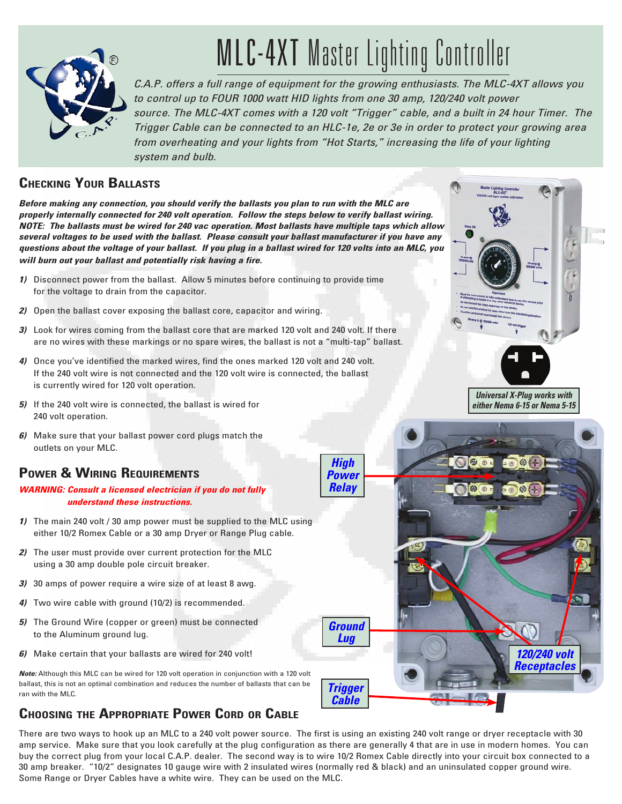

# MLC-4XT Master Lighting Controller

*C.A.P. offers a full range of equipment for the growing enthusiasts. The MLC-4XT allows you to control up to FOUR 1000 watt HID lights from one 30 amp, 120/240 volt power source. The MLC-4XT comes with a 120 volt "Trigger" cable, and a built in 24 hour Timer. The Trigger Cable can be connected to an HLC-1e, 2e or 3e in order to protect your growing area from overheating and your lights from "Hot Starts," increasing the life of your lighting system and bulb.*

## **Checking Your Ballasts**

*Before making any connection, you should verify the ballasts you plan to run with the MLC are properly internally connected for 240 volt operation. Follow the steps below to verify ballast wiring. NOTE: The ballasts must be wired for 240 vac operation. Most ballasts have multiple taps which allow several voltages to be used with the ballast. Please consult your ballast manufacturer if you have any questions about the voltage of your ballast. If you plug in a ballast wired for 120 volts into an MLC, you will burn out your ballast and potentially risk having a fire.*

- *1)* Disconnect power from the ballast. Allow 5 minutes before continuing to provide time for the voltage to drain from the capacitor.
- *2)* Open the ballast cover exposing the ballast core, capacitor and wiring.
- *3)* Look for wires coming from the ballast core that are marked 120 volt and 240 volt. If there are no wires with these markings or no spare wires, the ballast is not a "multi-tap" ballast.
- *4)* Once you've identified the marked wires, find the ones marked 120 volt and 240 volt. If the 240 volt wire is not connected and the 120 volt wire is connected, the ballast is currently wired for 120 volt operation.
- *5)* If the 240 volt wire is connected, the ballast is wired for 240 volt operation.
- *6)* Make sure that your ballast power cord plugs match the outlets on your MLC.

# **Power & Wiring Requirements**

#### *WARNING: Consult a licensed electrician if you do not fully understand these instructions.*

- *1)* The main 240 volt / 30 amp power must be supplied to the MLC using either 10/2 Romex Cable or a 30 amp Dryer or Range Plug cable.
- *2)* The user must provide over current protection for the MLC using a 30 amp double pole circuit breaker.
- *3)*30 amps of power require a wire size of at least 8 awg.
- *4)* Two wire cable with ground (10/2) is recommended.
- *5)* The Ground Wire (copper or green) must be connected to the Aluminum ground lug.
- *6)* Make certain that your ballasts are wired for 240 volt!

*Note:* Although this MLC can be wired for 120 volt operation in conjunction with a 120 volt ballast, this is not an optimal combination and reduces the number of ballasts that can be ran with the MLC.

# **Choosing the Appropriate Power Cord or Cable**

There are two ways to hook up an MLC to a 240 volt power source. The first is using an existing 240 volt range or dryer receptacle with 30 amp service. Make sure that you look carefully at the plug configuration as there are generally 4 that are in use in modern homes. You can buy the correct plug from your local C.A.P. dealer. The second way is to wire 10/2 Romex Cable directly into your circuit box connected to a 30 amp breaker. "10/2" designates 10 gauge wire with 2 insulated wires (normally red & black) and an uninsulated copper ground wire. Some Range or Dryer Cables have a white wire. They can be used on the MLC.



*Universal X-Plug works with either Nema 6-15 or Nema 5-15*